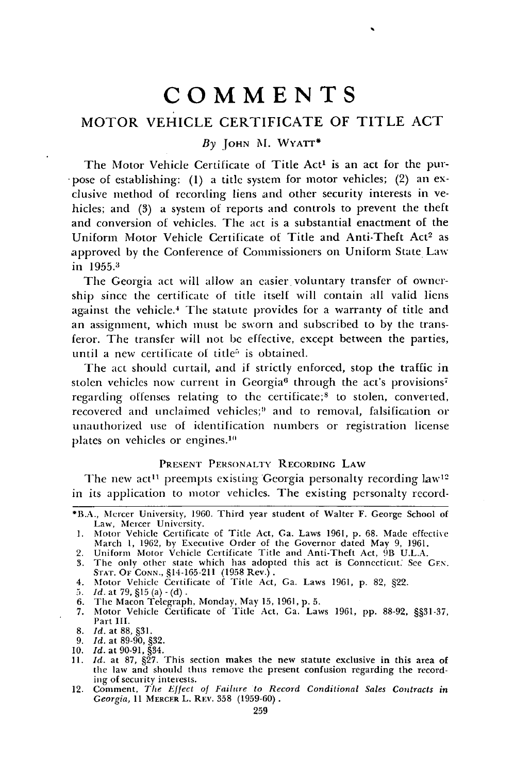# **COMMENTS**

## MOTOR **VEHICLE** CERTIFICATE OF TITLE **ACT**

### *By* **JOHN** M. WYATT\*

The Motor Vehicle Certificate of Title Act<sup>1</sup> is an act for the pur--pose of establishing: (1) a title system for motor vehicles; (2) an exclusive method of recording liens and other security interests in vehicles; and (3) a system of reports and controls to prevent the theft and conversion of vehicles. The act is a substantial enactment of the Uniform Motor Vehicle Certificate of Title and Anti-Theft Act<sup>2</sup> as approved by the Conference of Commissioners on Uniform State Law in 1955.<sup>3</sup>

The Georgia act will allow an easier voluntary transfer of ownership since the certificate of title itself will contain all valid liens against the vehicle.<sup>4</sup> The statute provides for a warranty of title and an assignment, which must be sworn and subscribed to by the transferor. The transfer will not be effective, except between the parties, until a new certificate of title<sup>5</sup> is obtained.

The act should curtail, and if strictly enforced, stop the traffic in stolen vehicles now current in Georgia<sup>6</sup> through the act's provisions<sup>7</sup> regarding offenses relating to the certificate;<sup>8</sup> to stolen, converted, recovered and unclaimed vehicles;<sup>9</sup> and to removal, falsification or unauthorized use of identification numbers or registration license plates on vehicles or engines.<sup>10</sup>

## PRESENT PERSONALTY RECORDING LAW

The new act<sup>11</sup> preempts existing Georgia personalty recording  $law<sup>12</sup>$ in its application to motor vehicles. The existing personalty record-

- 
- **5.** *Id.* at **79, §15** (a) **-(d).**
- 6. The Macon Telegraph, Monday, May 15, 1961, p. 5.
- 7. Motor Vehicle Certificate of Title Act, Ga. Laws 1961, pp. 88-92, §§31-37, Part III.
- **8.** *ld.* at **88, §31.**
- 9. *Id.* at 89-90, §32.
- 

<sup>\*</sup>B.A., Mercer University, 1960. Third year student of Walter F. George School **of** Law, Mercer University.

**<sup>1.</sup>** Motor Vehicle Certificate of Title Act, Ga. Laws 1961, p. 68. Made effective March 1, 1962, by Executive Order of the Governor dated May 9, 1961.

<sup>2.</sup> Uniform Motor Vehicle Certificate Title and Anti-Theft Act, 9B U.L.A. 3. The only other state which has adopted this act is Connecticut. See GEN.

<sup>S</sup>'rAT. OF CONN., §14-165-211 (1958 Rev.) **.** 4. Motor Vehicle Certificate of Title Act, Ga. Laws 1961, p. **82,** §22.

**<sup>10.</sup>** *Id.* at 90-91, §34. 11. *Id.* at 87, §27. This section makes the new statute exclusive in this area of the **law** and should thus remove the present confusion regarding the recording of security interests.

<sup>12.</sup> Comment, *The Effect of Failure to Record Conditional Sales Contracts in Georgia,* 11 MERCER L. REV. 358 (1959-60).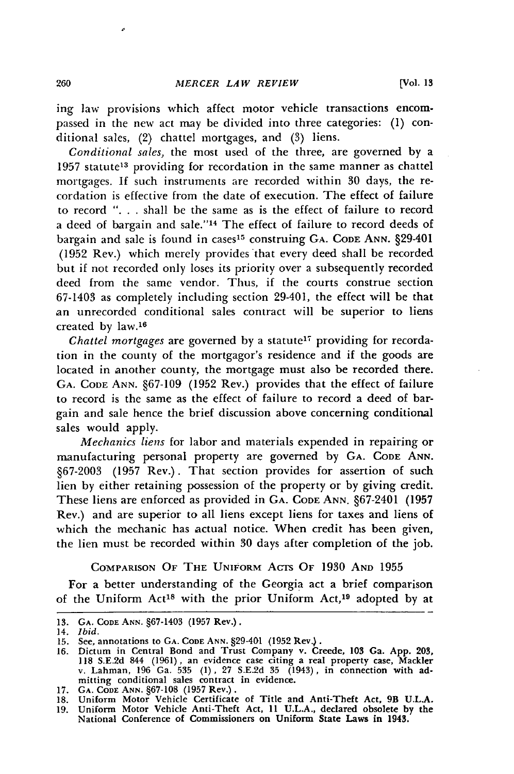ing law provisions which affect motor vehicle transactions encompassed in the new act may be divided into three categories: **(1)** conditional sales, (2) chattel mortgages, and **(3)** liens.

*Conditional sales,* the most used of the three, are governed **by** a 1957 statute<sup>13</sup> providing for recordation in the same manner as chattel mortgages. **If** such instruments are recorded within **30** days, the recordation is effective from the date of execution. The effect of failure to record **". . .** shall be the same as is the effect of failure to record a deed of bargain and sale."'14 The effect of failure to record deeds of bargain and sale is found in cases 15 construing **GA. CODE ANN.** §29-401 **(1952** Rev.) which merely provides that every deed shall be recorded but if not recorded only loses its priority over a subsequently recorded deed from the same vendor. Thus, if the courts construe section **67-1403** as completely including section 29-401, the effect will be that an unrecorded conditional sales contract will be superior to liens created by law.<sup>16</sup>

*Chattel mortgages* are governed by a statute<sup>17</sup> providing for recordation in the county of the mortgagor's residence and if the goods are located in another county, the mortgage must also **be** recorded there. **GA. CODE ANN. §67-109 (1952** Rev.) provides that the effect of failure to record is the same as the effect of failure to record a deed of bargain and sale hence the brief discussion above concerning conditional sales would apply.

*Mechanics liens* for labor and materials expended in repairing or manufacturing personal property are governed **by GA. CODE ANN. §67-2003 (1957** Rev.). That section provides for assertion of such lien **by** either retaining possession of the property or **by** giving credit. These liens are enforced as provided in **GA. CODE ANN.** §67-2401 **(1957** Rev.) and are superior to all liens except liens for taxes and liens of which the mechanic has actual notice. When credit has been given, the lien must be recorded within **30** days after completion of the **job.**

COMPARISON OF THE UNIFORM ACTs OF **1930** AND **1955** For a better understanding of the Georgia act a brief comparison of the Uniform Act<sup>18</sup> with the prior Uniform Act,<sup>19</sup> adopted by at

**<sup>13.</sup> GA. CODE ANN. §67-1403 (1957** Rev.).

<sup>14.</sup> *Ibid.*

**<sup>15.</sup>** See, annotations to **GA. CODE ANN.** §29-401 **(1952** Rev.).

**<sup>16.</sup>** Dictum in Central Bond and Trust Company v. Creede, **103** Ga. **App. 203, 118 S.E.2d** 844 **(1961),** an evidence case citing a real property case, Mackler v. Lahman, **196** Ga. **535 (1), 27 S.E.2d 35** (1943), in connection with admitting conditional sales contract in evidence. **17. GA. CODE ANN. §67-108 (1957** Rev.).

**<sup>18.</sup>** Uniform Motor Vehicle Certificate of Title and Anti-Theft Act, 9B **U.L.A.**

**<sup>19.</sup>** Uniform Motor Vehicle Anti-Theft Act, **11 U.L.A.,** declared obsolete **by** the National Conference of Commissioners on Uniform State Laws in **1945.**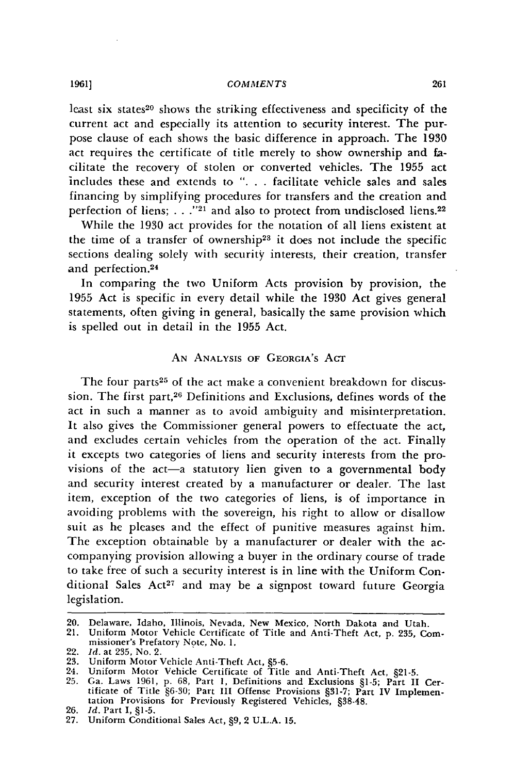#### *COMMENTS*

least six states<sup>20</sup> shows the striking effectiveness and specificity of the current act and especially its attention to security interest. The purpose clause of each shows the basic difference in approach. The 1930 act requires the certificate of title merely to show ownership and facilitate the recovery of stolen or converted vehicles. The 1955 act includes these and extends to **". . .** facilitate vehicle sales and sales financing by simplifying procedures for transfers and the creation and perfection of liens; . . ."<sup>21</sup> and also to protect from undisclosed liens.<sup>22</sup>

While the 1930 act provides for the notation of all liens existent at the time of a transfer of ownership<sup>23</sup> it does not include the specific sections dealing solely with security interests, their creation, transfer and perfection.<sup>24</sup>

In comparing the two Uniform Acts provision **by** provision, the **1955** Act is specific in every detail while the 1930 Act gives general statements, often giving in general, basically the same provision which is spelled out in detail in the **1955** Act.

## **AN** ANALYSIS OF GEORGIA'S AcT

The four parts<sup>25</sup> of the act make a convenient breakdown for discussion. The first part,<sup>26</sup> Definitions and Exclusions, defines words of the act in such a manner as to avoid ambiguity and misinterpretation. It also gives the Commissioner general powers to effectuate the act, and excludes certain vehicles from the operation of the act. Finally it excepts two categories of liens and security interests from the provisions of the act-a statutory lien given to a governmental body and security interest created by a manufacturer or dealer. The last item, exception of the two categories of liens, is of importance in avoiding problems with the sovereign, his right to allow or disallow suit as he pleases and the effect of punitive measures against him. The exception obtainable by a manufacturer or dealer with the accompanying provision allowing a buyer in the ordinary course of trade to take free of such a security interest is in line with the Uniform Conditional Sales Act<sup>27</sup> and may be a signpost toward future Georgia legislation.

<sup>20.</sup> Delaware, Idaho, Illinois, Nevada, New Mexico, North Dakota and Utah.

<sup>21.</sup> Uniform Motor Vehicle Certificate of Title and Anti-Theft Act, p. 235, Commissioner's Prefatory Note, No. 1.

<sup>22.</sup> *Id.* at 235, No. 2.

<sup>23.</sup> Uniform Motor Vehicle Anti-Theft Act, §5-6.

<sup>24.</sup> Uniform Motor Vehicle Certificate of Title and Anti-Theft Act, §21-5.

<sup>25.</sup> Ga. Laws 1961, p. 68, Part 1, Definitions and Exclusions §1-5; Part II Certificate of Title §6-30; Part III Offense Provisions §31-7; Part IV Implementation Provisions for Previously Registered Vehicles. 838-48.

<sup>26.</sup> *Id.* Part I, §1-5.

<sup>27.</sup> Uniform Conditional Sales Act, §9, 2 U.L.A. **15.**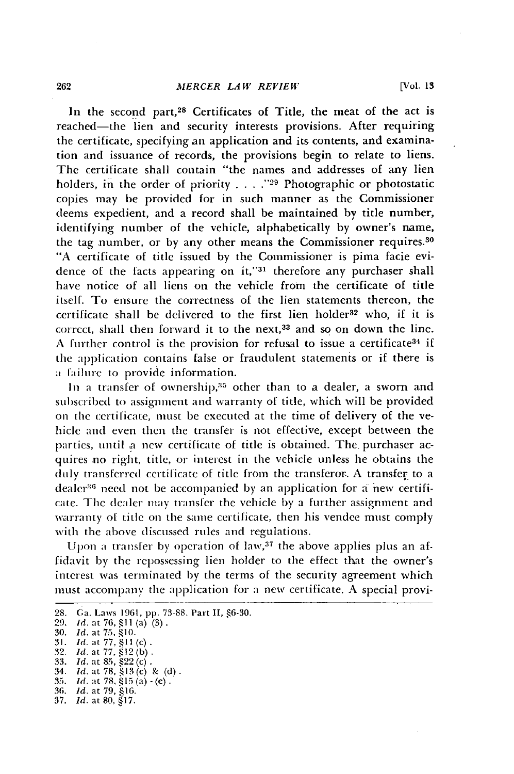#### *MERCER LAW REVIEW*

In the second part,<sup>28</sup> Certificates of Title, the meat of the act is reached-the lien and security interests provisions. After requiring the certificate, specifying an application and its contents, and examination and issuance of records, the provisions begin to relate to liens. The certificate shall contain "the names and addresses of any lien holders, in the order of priority **.... ,29** Photographic or photostatic copies may be provided for in such manner as the Commissioner deems expedient, and a record shall be maintained by title number, identifying number of the vehicle, alphabetically by owner's name, the tag number, or by any other means the Commissioner requires.30 "A certificate of title issued by the Commissioner is pima facie evidence of the facts appearing on **it,'31** therefore any purchaser shall have notice of all liens on the vehicle from the certificate of title itself. To ensure the correctness of the lien statements thereon, the certificate shall be delivered to the first lien holder<sup>32</sup> who, if it is correct, shall then forward it to the next, $33$  and so on down the line. A further control is the provision for refusal to issue a certificate<sup>34</sup> if the application contains false or fraudulent statements or if there is a failure to provide information.

In a transfer of ownership,<sup>35</sup> other than to a dealer, a sworn and subscribed to assignment and warranty of title, which will be provided on the certificate, must be executed at the time of delivery of the vehicle and even then the transfer is not effective, except between the parties, until a new certificate of title is obtained. The. purchaser acquires no right, title, or interest in the vehicle unless he obtains the duly transferred certificate of title from the transferor. A transfer to a dealer<sup>36</sup> need not be accompanied by an application for a new certificate. The dealer may transfer the vehicle by a further assignment and warranty of title on the same certificate, then his vendee must comply with the above discussed rules and regulations.

Upon a transfer by operation of law,<sup>37</sup> the above applies plus an affidavit by the repossessing lien holder to the effect that the owner's interest was terminated by the terms of the security agreement which must accompany the application for a new certificate. A special provi-

<sup>28.</sup> Ga. Laws 1961, **pp.** 73-88. Part II, §6-30.

<sup>29.</sup> *Id.* at **76, §1 I** (a) (3).

<sup>30.</sup> *Id.* at **75, § 10.**

<sup>31.</sup> *Id.* at 77, **§11** (c). **32.** *Idl.* **at 77, §** 12 **(b) .**

**<sup>33.</sup>** *Id.* at *85,* §22 (c) **.** 34. *Id. at 78,* **§13** (c) **k (d** .

**<sup>35.</sup>** *ld.* at **78, §15S(a) - (e) .**

<sup>36.</sup> *Id.* at 79, §16.

<sup>37.</sup> *Id.* at **80,** §17.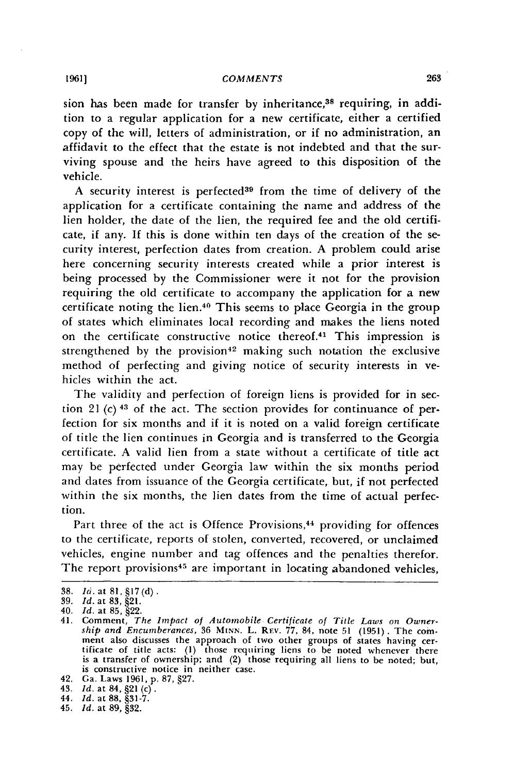#### *COMMENTS*

sion has been made for transfer by inheritance,<sup>38</sup> requiring, in addition to a regular application for a new certificate, either a certified copy of the will, letters of administration, or if no administration, an affidavit to the effect that the estate is not indebted and that the surviving spouse and the heirs have agreed to this disposition of the vehicle.

A security interest is perfected<sup>39</sup> from the time of delivery of the application for a certificate containing the name and address of the lien holder, the date of the lien, the required fee and the old certificate, if any. If this is done within ten days of the creation of the security interest, perfection dates from creation. A problem could arise here concerning security interests created while a prior interest is being processed by the Commissioner were it not for the provision requiring the old certificate to accompany the application for a new certificate noting the lien.40 This seems to place Georgia in the group of states which eliminates local recording and makes the liens noted on the certificate constructive notice thereof.41 This impression is strengthened by the provision<sup>42</sup> making such notation the exclusive method of perfecting and giving notice of security interests in vehicles within the act.

The validity and perfection of foreign liens is provided for in section 21 (c) **43** of the act. The section provides for continuance of perfection for six months and if it is noted on a valid foreign certificate of title the lien continues in Georgia and is transferred to the Georgia certificate. A valid lien from a state without a certificate of title act may be perfected under Georgia law within the six months period and dates from issuance of the Georgia certificate, but, if not perfected within the six months, the lien dates from the time of actual perfection.

Part three of the act is Offence Provisions,<sup>44</sup> providing for offences to the certificate, reports of stolen, converted, recovered, or unclaimed vehicles, engine number and tag offences and the penalties therefor. The report provisions<sup>45</sup> are important in locating abandoned vehicles,

<sup>38.</sup> *16.* at 81, §17(d).

<sup>39.</sup> **Id.** at 83, §21.

<sup>40.</sup> *Id.* at 85, §22.

<sup>41.</sup> Comment, *The Impact of Automobile Certificate of Title Laws on Ownership and Encumberances,* 36 **MINN.** L. Rrv. *77,* 84, note 51 (1951). The com- ment also discusses the approach of two other groups of states having certificate of title acts: **(1)** those requiring liens to be noted whenever there is a transfer of ownership; and (2) those requiring all liens to be noted; but, is constructive notice in neither case.

<sup>42.</sup> Ga. Laws 1961, p. 87, §27.

<sup>43.</sup> *Id.* at 84, §21 (c).

<sup>44.</sup> *Id.* at **88, §31-7.** 45. *Id.* at **89, §32.**